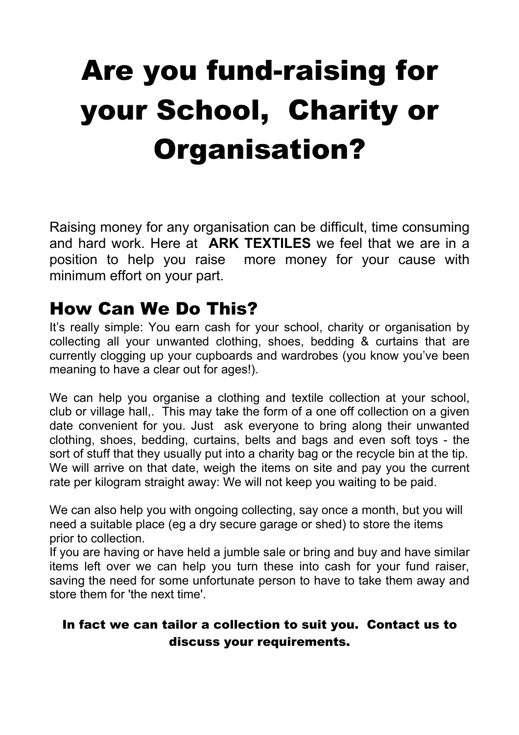# Are you fund-raising for your School, Charity or Organisation?

Raising money for any organisation can be difficult, time consuming and hard work. Here at **ARK TEXTILES** we feel that we are in a position to help you raise more money for your cause with minimum effort on your part.

# How Can We Do This?

It's really simple: You earn cash for your school, charity or organisation by collecting all your unwanted clothing, shoes, bedding & curtains that are currently clogging up your cupboards and wardrobes (you know you've been meaning to have a clear out for ages!).

We can help you organise a clothing and textile collection at your school, club or village hall,. This may take the form of a one off collection on a given date convenient for you. Just ask everyone to bring along their unwanted clothing, shoes, bedding, curtains, belts and bags and even soft toys - the sort of stuff that they usually put into a charity bag or the recycle bin at the tip. We will arrive on that date, weigh the items on site and pay you the current rate per kilogram straight away: We will not keep you waiting to be paid.

We can also help you with ongoing collecting, say once a month, but you will need a suitable place (eg a dry secure garage or shed) to store the items prior to collection.

If you are having or have held a jumble sale or bring and buy and have similar items left over we can help you turn these into cash for your fund raiser, saving the need for some unfortunate person to have to take them away and store them for 'the next time'.

#### In fact we can tailor a collection to suit you. Contact us to discuss your requirements.